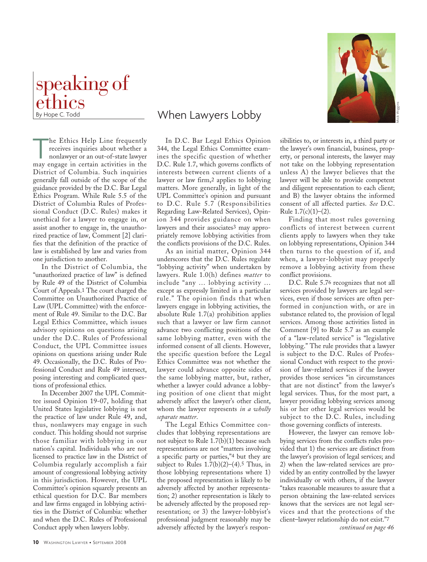

The Ethics Help Line frequently receives inquiries about whether a nonlawyer or an out-of-state lawyer may engage in certain activities in the District of Columbia. Such inquiries generally fall outside of the scope of the guidance provided by the D.C. Bar Legal Ethics Program. While Rule 5.5 of the District of Columbia Rules of Professional Conduct (D.C. Rules) makes it unethical for a lawyer to engage in, or assist another to engage in, the unauthorized practice of law, Comment [2] clarifies that the definition of the practice of law is established by law and varies from one jurisdiction to another.

In the District of Columbia, the "unauthorized practice of law" is defined by Rule 49 of the District of Columbia Court of Appeals.1 The court charged the Committee on Unauthorized Practice of Law (UPL Committee) with the enforcement of Rule 49. Similar to the D.C. Bar Legal Ethics Committee, which issues advisory opinions on questions arising under the D.C. Rules of Professional Conduct, the UPL Committee issues opinions on questions arising under Rule 49. Occasionally, the D.C. Rules of Professional Conduct and Rule 49 intersect, posing interesting and complicated questions of professional ethics.

In December 2007 the UPL Committee issued Opinion 19-07, holding that United States legislative lobbying is not the practice of law under Rule 49, and, thus, nonlawyers may engage in such conduct. This holding should not surprise those familiar with lobbying in our nation's capital. Individuals who are not licensed to practice law in the District of Columbia regularly accomplish a fair amount of congressional lobbying activity in this jurisdiction. However, the UPL Committee's opinion squarely presents an ethical question for D.C. Bar members and law firms engaged in lobbying activities in the District of Columbia: whether and when the D.C. Rules of Professional Conduct apply when lawyers lobby.

# When Lawyers Lobby

In D.C. Bar Legal Ethics Opinion 344, the Legal Ethics Committee examines the specific question of whether D.C. Rule 1.7, which governs conflicts of interests between current clients of a lawyer or law firm,2 applies to lobbying matters. More generally, in light of the UPL Committee's opinion and pursuant to D.C. Rule 5.7 (Responsibilities Regarding Law-Related Services), Opinion 344 provides guidance on when lawyers and their associates3 may appropriately remove lobbying activities from the conflicts provisions of the D.C. Rules.

As an initial matter, Opinion 344 underscores that the D.C. Rules regulate "lobbying activity" when undertaken by lawyers. Rule 1.0(h) defines *matter* to include "any … lobbying activity … except as expressly limited in a particular rule." The opinion finds that when lawyers engage in lobbying activities, the absolute Rule 1.7(a) prohibition applies such that a lawyer or law firm cannot advance two conflicting positions of the same lobbying matter, even with the informed consent of all clients. However, the specific question before the Legal Ethics Committee was not whether the lawyer could advance opposite sides of the same lobbying matter, but, rather, whether a lawyer could advance a lobbying position of one client that might adversely affect the lawyer's other client, whom the lawyer represents *in a wholly separate matter*.

The Legal Ethics Committee concludes that lobbying representations are not subject to Rule 1.7(b)(1) because such representations are not "matters involving a specific party or parties,"4 but they are subject to Rules  $1.7(b)(2)-(4).5$  Thus, in those lobbying representations where 1) the proposed representation is likely to be adversely affected by another representation; 2) another representation is likely to be adversely affected by the proposed representation; or 3) the lawyer-lobbyist's professional judgment reasonably may be adversely affected by the lawyer's respon-



sibilities to, or interests in, a third party or the lawyer's own financial, business, property, or personal interests, the lawyer may not take on the lobbying representation unless A) the lawyer believes that the lawyer will be able to provide competent and diligent representation to each client; and B) the lawyer obtains the informed consent of all affected parties. *See* D.C. Rule  $1.7(c)(1)–(2)$ .

Finding that most rules governing conflicts of interest between current clients apply to lawyers when they take on lobbying representations, Opinion 344 then turns to the question of if, and when, a lawyer-lobbyist may properly remove a lobbying activity from these conflict provisions.

D.C. Rule 5.76 recognizes that not all services provided by lawyers are legal services, even if those services are often performed in conjunction with, or are in substance related to, the provision of legal services. Among those activities listed in Comment [9] to Rule 5.7 as an example of a "law-related service" is "legislative lobbying." The rule provides that a lawyer is subject to the D.C. Rules of Professional Conduct with respect to the provision of law-related services if the lawyer provides those services "in circumstances that are not distinct" from the lawyer's legal services. Thus, for the most part, a lawyer providing lobbying services among his or her other legal services would be subject to the D.C. Rules, including those governing conflicts of interests.

However, the lawyer can remove lobbying services from the conflicts rules provided that 1) the services are distinct from the lawyer's provision of legal services; and 2) when the law-related services are provided by an entity controlled by the lawyer individually or with others, if the lawyer "takes reasonable measures to assure that a person obtaining the law-related services knows that the services are not legal services and that the protections of the client–lawyer relationship do not exist."7

*continued on page 46*